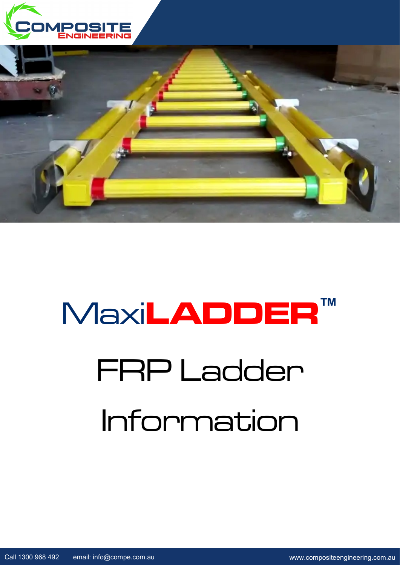



# FRP Ladder Information Maxi**LADDER™**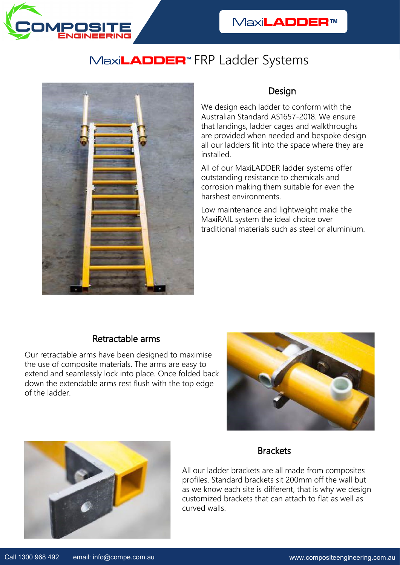

## Maxi**LADDER™** FRP Ladder Systems



#### Design

We design each ladder to conform with the Australian Standard AS1657-2018. We ensure that landings, ladder cages and walkthroughs are provided when needed and bespoke design all our ladders fit into the space where they are installed.

All of our MaxiLADDER ladder systems offer outstanding resistance to chemicals and corrosion making them suitable for even the harshest environments.

Low maintenance and lightweight make the MaxiRAIL system the ideal choice over traditional materials such as steel or aluminium.

### Retractable arms

Our retractable arms have been designed to maximise the use of composite materials. The arms are easy to extend and seamlessly lock into place. Once folded back down the extendable arms rest flush with the top edge of the ladder.





#### **Brackets**

All our ladder brackets are all made from composites profiles. Standard brackets sit 200mm off the wall but as we know each site is different, that is why we design customized brackets that can attach to flat as well as curved walls.